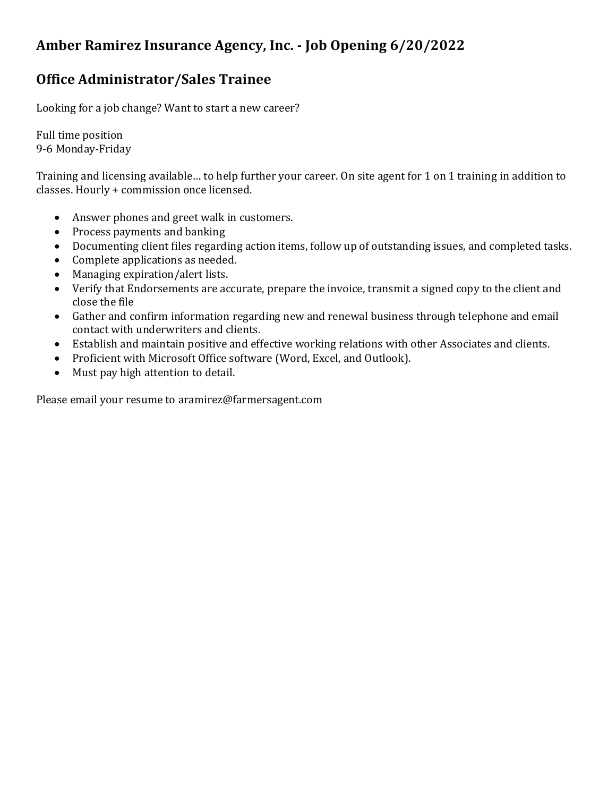# **Amber Ramirez Insurance Agency, Inc. - Job Opening 6/20/2022**

### **Office Administrator/Sales Trainee**

Looking for a job change? Want to start a new career?

Full time position 9-6 Monday-Friday

Training and licensing available… to help further your career. On site agent for 1 on 1 training in addition to classes. Hourly + commission once licensed.

- Answer phones and greet walk in customers.
- Process payments and banking
- Documenting client files regarding action items, follow up of outstanding issues, and completed tasks.
- Complete applications as needed.
- Managing expiration/alert lists.
- Verify that Endorsements are accurate, prepare the invoice, transmit a signed copy to the client and close the file
- Gather and confirm information regarding new and renewal business through telephone and email contact with underwriters and clients.
- Establish and maintain positive and effective working relations with other Associates and clients.
- Proficient with Microsoft Office software (Word, Excel, and Outlook).
- Must pay high attention to detail.

Please email your resume to aramirez@farmersagent.com